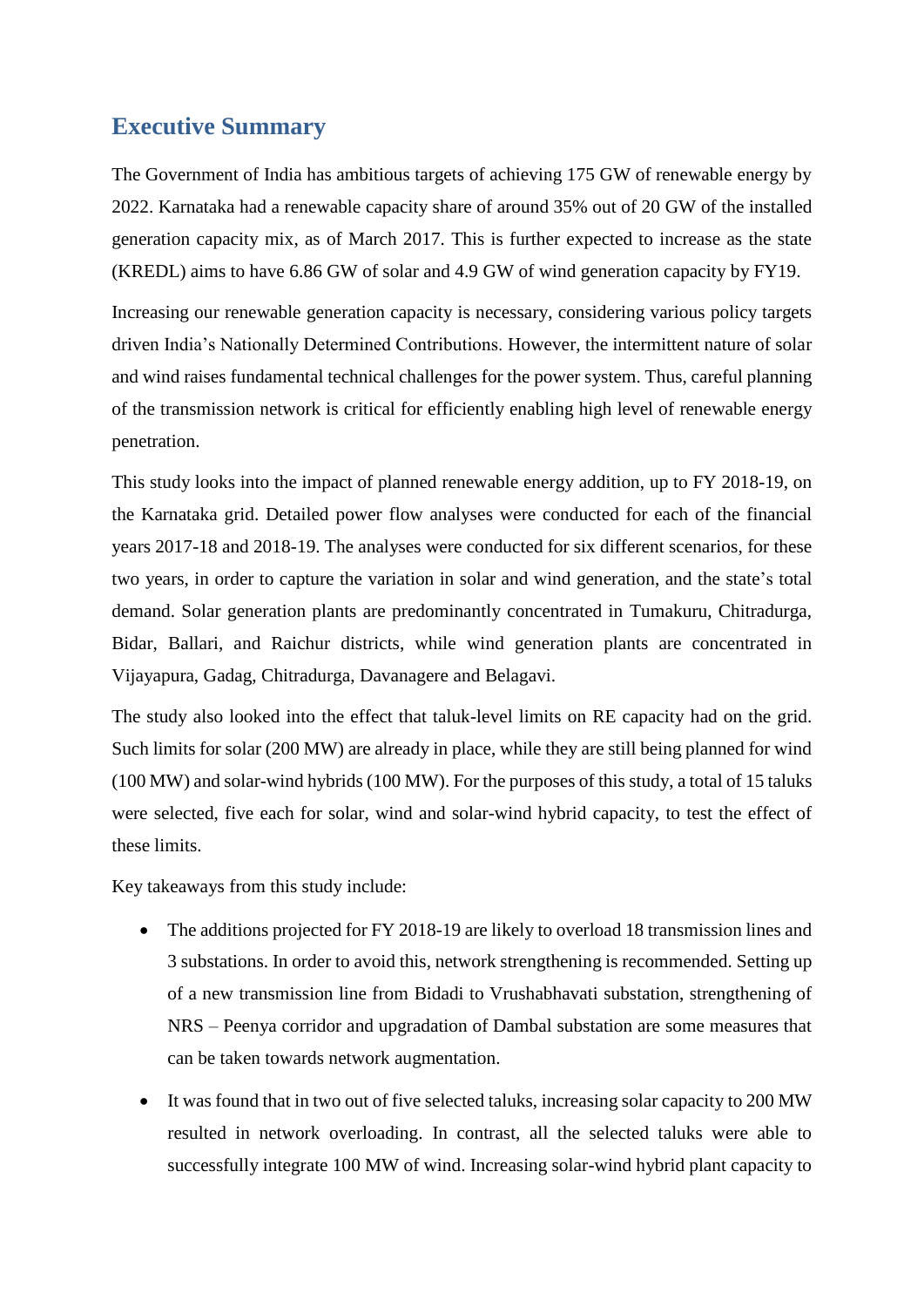## **Executive Summary**

The Government of India has ambitious targets of achieving 175 GW of renewable energy by 2022. Karnataka had a renewable capacity share of around 35% out of 20 GW of the installed generation capacity mix, as of March 2017. This is further expected to increase as the state (KREDL) aims to have 6.86 GW of solar and 4.9 GW of wind generation capacity by FY19.

Increasing our renewable generation capacity is necessary, considering various policy targets driven India's Nationally Determined Contributions. However, the intermittent nature of solar and wind raises fundamental technical challenges for the power system. Thus, careful planning of the transmission network is critical for efficiently enabling high level of renewable energy penetration.

This study looks into the impact of planned renewable energy addition, up to FY 2018-19, on the Karnataka grid. Detailed power flow analyses were conducted for each of the financial years 2017-18 and 2018-19. The analyses were conducted for six different scenarios, for these two years, in order to capture the variation in solar and wind generation, and the state's total demand. Solar generation plants are predominantly concentrated in Tumakuru, Chitradurga, Bidar, Ballari, and Raichur districts, while wind generation plants are concentrated in Vijayapura, Gadag, Chitradurga, Davanagere and Belagavi.

The study also looked into the effect that taluk-level limits on RE capacity had on the grid. Such limits for solar (200 MW) are already in place, while they are still being planned for wind (100 MW) and solar-wind hybrids (100 MW). For the purposes of this study, a total of 15 taluks were selected, five each for solar, wind and solar-wind hybrid capacity, to test the effect of these limits.

Key takeaways from this study include:

- The additions projected for FY 2018-19 are likely to overload 18 transmission lines and 3 substations. In order to avoid this, network strengthening is recommended. Setting up of a new transmission line from Bidadi to Vrushabhavati substation, strengthening of NRS – Peenya corridor and upgradation of Dambal substation are some measures that can be taken towards network augmentation.
- It was found that in two out of five selected taluks, increasing solar capacity to 200 MW resulted in network overloading. In contrast, all the selected taluks were able to successfully integrate 100 MW of wind. Increasing solar-wind hybrid plant capacity to